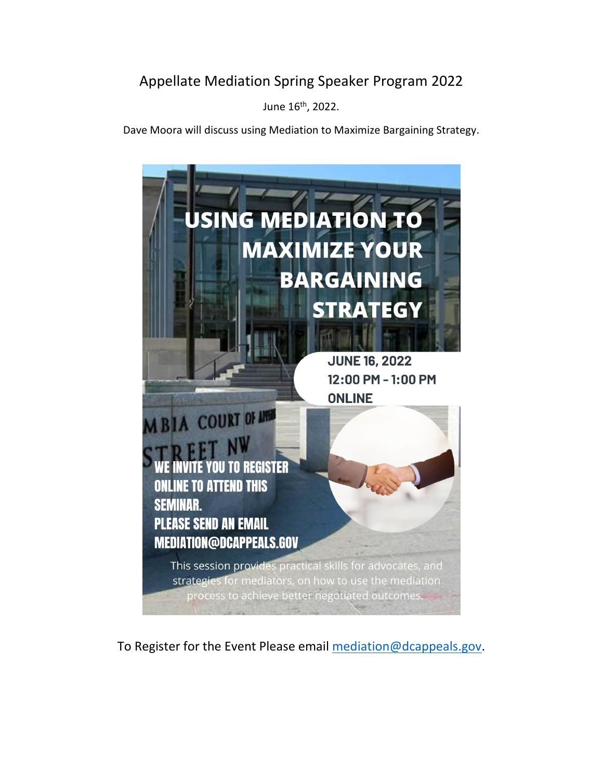## Appellate Mediation Spring Speaker Program 2022

June 16th, 2022.

Dave Moora will discuss using Mediation to Maximize Bargaining Strategy.



To Register for the Event Please email [mediation@dcappeals.gov.](mailto:mediation@dcappeals.gov)